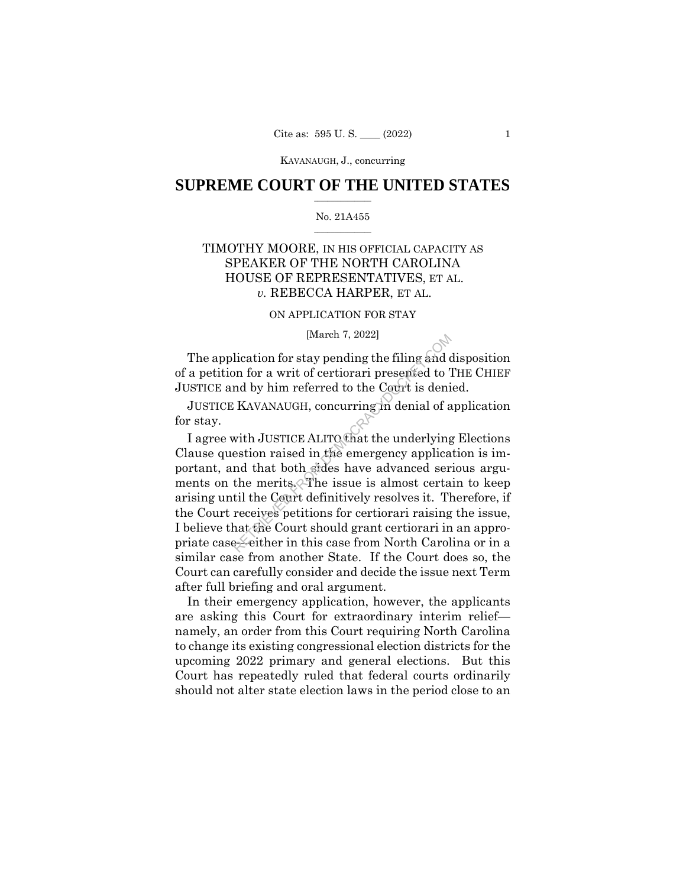KAVANAUGH, J., concurring

# $\frac{1}{2}$  , where  $\frac{1}{2}$ **SUPREME COURT OF THE UNITED STATES**

### $\frac{1}{2}$  ,  $\frac{1}{2}$  ,  $\frac{1}{2}$  ,  $\frac{1}{2}$  ,  $\frac{1}{2}$  ,  $\frac{1}{2}$ No. 21A455

# TIMOTHY MOORE, IN HIS OFFICIAL CAPACITY AS SPEAKER OF THE NORTH CAROLINA HOUSE OF REPRESENTATIVES, ET AL. *v.* REBECCA HARPER, ET AL.

# ON APPLICATION FOR STAY

### [March 7, 2022]

The application for stay pending the filing and disposition of a petition for a writ of certiorari presented to THE CHIEF JUSTICE and by him referred to the Court is denied.

JUSTICE KAVANAUGH, concurring in denial of application for stay.

I agree with JUSTICE ALITO that the underlying Elections Clause question raised in the emergency application is important, and that both sides have advanced serious arguments on the merits. The issue is almost certain to keep arising until the Court definitively resolves it. Therefore, if the Court receives petitions for certiorari raising the issue, I believe that the Court should grant certiorari in an appropriate case—either in this case from North Carolina or in a similar case from another State. If the Court does so, the Court can carefully consider and decide the issue next Term after full briefing and oral argument.  $[$ 1] (water  $7, 2022]$  )  
\nlication for stay pending the filing and a  
\non for a writ of certiorari presented to 7  
\nand by him referred to the Court is deni  
\nKAVANAUGH, concurring in denial of a  
\nwith JUSTICE ALITO that the underlying  
\nestion raised in the emergency applies  
\nand that both sides have advanced ser  
\nthe merits. The issue is almost certa  
\ntil the Court definitively resolves it. The  
\nreceives~petitions for certiorari raising  
\nhat the Court should grant certiorari in  
\nselect her in this case from North Carol

In their emergency application, however, the applicants are asking this Court for extraordinary interim relief namely, an order from this Court requiring North Carolina to change its existing congressional election districts for the upcoming 2022 primary and general elections. But this Court has repeatedly ruled that federal courts ordinarily should not alter state election laws in the period close to an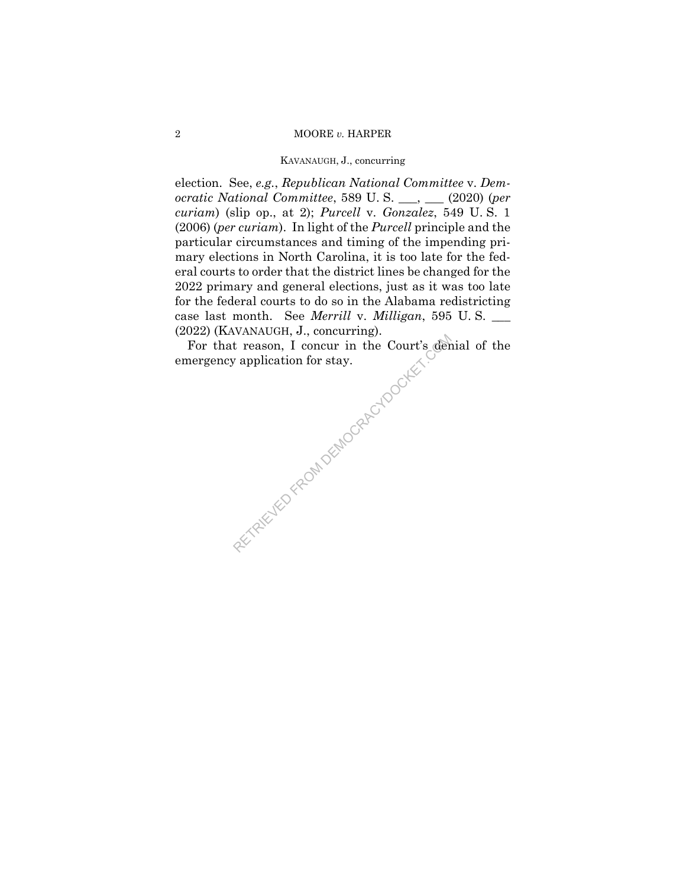### 2 MOORE *v.* HARPER

# KAVANAUGH, J., concurring

election. See, *e.g.*, *Republican National Committee* v. *Democratic National Committee*, 589 U. S. \_\_\_, \_\_\_ (2020) (*per curiam*) (slip op., at 2); *Purcell* v. *Gonzalez*, 549 U. S. 1 (2006) (*per curiam*). In light of the *Purcell* principle and the particular circumstances and timing of the impending primary elections in North Carolina, it is too late for the federal courts to order that the district lines be changed for the 2022 primary and general elections, just as it was too late for the federal courts to do so in the Alabama redistricting case last month. See *Merrill* v. *Milligan*, 595 U. S. \_\_\_ (2022) (KAVANAUGH, J., concurring).

For that reason, I concur in the Court's denial of the emergency application for stay.

AETRIEVED FROM DEMOCRACYDOCKET.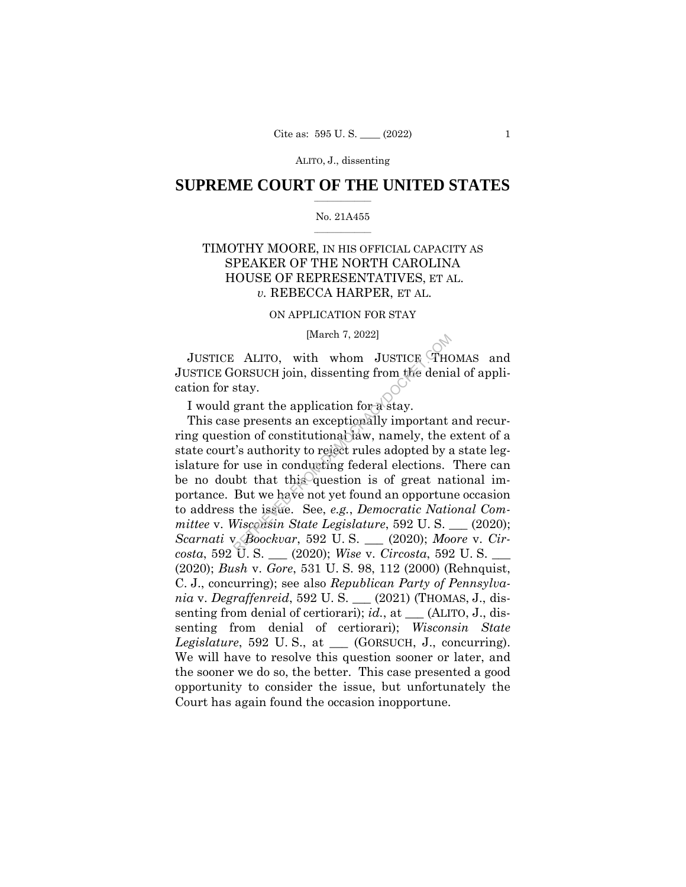# $\frac{1}{2}$  , where  $\frac{1}{2}$ **SUPREME COURT OF THE UNITED STATES**

### $\frac{1}{2}$  ,  $\frac{1}{2}$  ,  $\frac{1}{2}$  ,  $\frac{1}{2}$  ,  $\frac{1}{2}$  ,  $\frac{1}{2}$ No. 21A455

# TIMOTHY MOORE, IN HIS OFFICIAL CAPACITY AS SPEAKER OF THE NORTH CAROLINA HOUSE OF REPRESENTATIVES, ET AL. *v.* REBECCA HARPER, ET AL.

# ON APPLICATION FOR STAY

### [March 7, 2022]

JUSTICE ALITO, with whom JUSTICE THOMAS and JUSTICE GORSUCH join, dissenting from the denial of application for stay.

I would grant the application for a stay.

This case presents an exceptionally important and recurring question of constitutional law, namely, the extent of a state court's authority to reject rules adopted by a state legislature for use in conducting federal elections. There can be no doubt that this question is of great national importance. But we have not yet found an opportune occasion to address the issue. See, *e.g.*, *Democratic National Committee* v. *Wisconsin State Legislature*, 592 U. S. \_\_\_ (2020); *Scarnati* v. *Boockvar*, 592 U. S. \_\_\_ (2020); *Moore* v. *Circosta*, 592 U. S. \_\_\_ (2020); *Wise* v. *Circosta*, 592 U. S. \_\_\_ (2020); *Bush* v. *Gore*, 531 U. S. 98, 112 (2000) (Rehnquist, C. J., concurring); see also *Republican Party of Pennsylvania* v. *Degraffenreid*, 592 U. S. \_\_\_ (2021) (THOMAS, J., dissenting from denial of certiorari); *id.*, at \_\_\_ (ALITO, J., dissenting from denial of certiorari); *Wisconsin State Legislature*, 592 U. S., at \_\_\_ (GORSUCH, J., concurring). We will have to resolve this question sooner or later, and the sooner we do so, the better. This case presented a good opportunity to consider the issue, but unfortunately the Court has again found the occasion inopportune. Fractrice (March 7, 2022)<br>
RETRICORSUCH join, dissenting from the deniately.<br>
Stay.<br>
Frant the application for a stay.<br>
Example the application for a stay.<br>
The presents an exceptionally important<br>
ion of constitutional l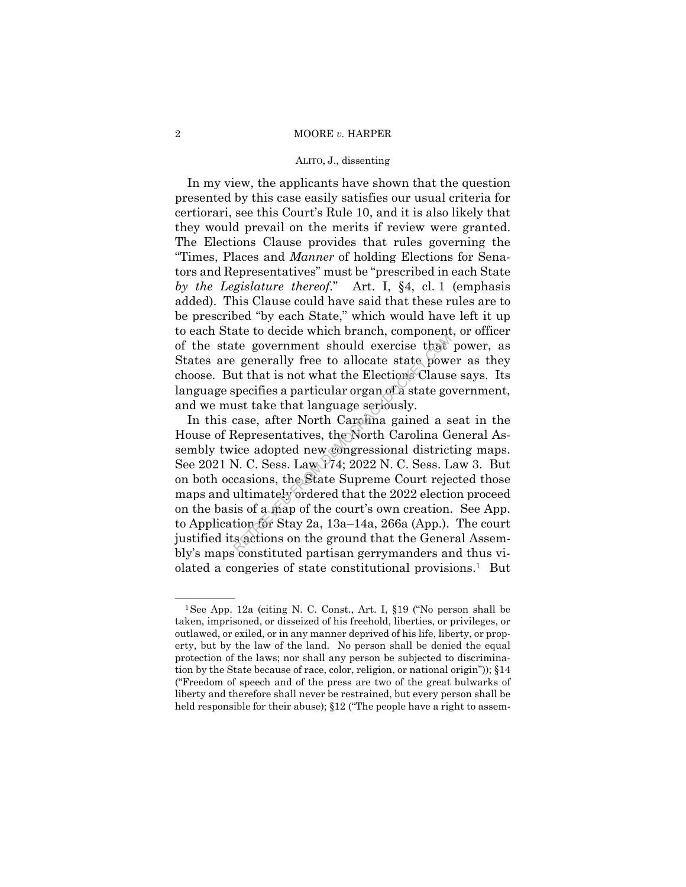#### 2 MOORE *v.* HARPER

### ALITO, J., dissenting

In my view, the applicants have shown that the question presented by this case easily satisfies our usual criteria for certiorari, see this Court's Rule 10, and it is also likely that they would prevail on the merits if review were granted. The Elections Clause provides that rules governing the "Times, Places and *Manner* of holding Elections for Senators and Representatives" must be "prescribed in each State *by the Legislature thereof*." Art. I, §4, cl. 1 (emphasis added). This Clause could have said that these rules are to be prescribed "by each State," which would have left it up to each State to decide which branch, component, or officer of the state government should exercise that power, as States are generally free to allocate state power as they choose. But that is not what the Elections Clause says. Its language specifies a particular organ of a state government, and we must take that language seriously.

In this case, after North Carolina gained a seat in the House of Representatives, the North Carolina General Assembly twice adopted new congressional districting maps. See 2021 N. C. Sess. Law 174; 2022 N. C. Sess. Law 3. But on both occasions, the State Supreme Court rejected those maps and ultimately ordered that the 2022 election proceed on the basis of a map of the court's own creation. See App. to Application for Stay 2a, 13a–14a, 266a (App.). The court justified its actions on the ground that the General Assembly's maps constituted partisan gerrymanders and thus violated a congeries of state constitutional provisions.1 But example to decide which standard, component<br>the government should exercise that<br>expending free to allocate state power<br>ut that is not what the Elections Clauss<br>specifies a particular organ of a state go<br>ust take that langu

 ("Freedom of speech and of the press are two of the great bulwarks of <sup>1</sup>See App. 12a (citing N. C. Const., Art. I, §19 ("No person shall be taken, imprisoned, or disseized of his freehold, liberties, or privileges, or outlawed, or exiled, or in any manner deprived of his life, liberty, or property, but by the law of the land. No person shall be denied the equal protection of the laws; nor shall any person be subjected to discrimination by the State because of race, color, religion, or national origin")); §14 liberty and therefore shall never be restrained, but every person shall be held responsible for their abuse); §12 ("The people have a right to assem-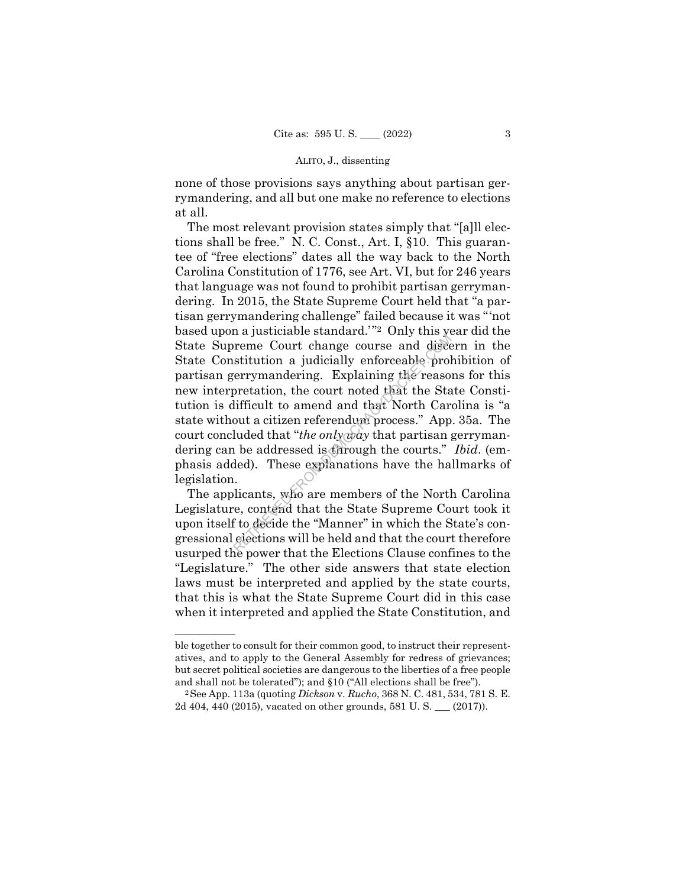none of those provisions says anything about partisan gerrymandering, and all but one make no reference to elections at all.

The most relevant provision states simply that "[a]ll elections shall be free." N. C. Const., Art. I, §10. This guarantee of "free elections" dates all the way back to the North Carolina Constitution of 1776, see Art. VI, but for 246 years that language was not found to prohibit partisan gerrymandering. In 2015, the State Supreme Court held that "a partisan gerrymandering challenge" failed because it was "'not based upon a justiciable standard.'"2 Only this year did the State Supreme Court change course and discern in the State Constitution a judicially enforceable prohibition of partisan gerrymandering. Explaining the reasons for this new interpretation, the court noted that the State Constitution is difficult to amend and that North Carolina is "a state without a citizen referendum process." App. 35a. The court concluded that "*the only way* that partisan gerrymandering can be addressed is through the courts." *Ibid*. (emphasis added). These explanations have the hallmarks of legislation. reme Court change course and diseasittution a judicially enforceable prolegarittution a judicially enforceable prolegarity explaining the reaso pretation, the court noted that the Statifficult to amend and that North Car o

The applicants, who are members of the North Carolina Legislature, contend that the State Supreme Court took it upon itself to decide the "Manner" in which the State's congressional elections will be held and that the court therefore usurped the power that the Elections Clause confines to the "Legislature." The other side answers that state election laws must be interpreted and applied by the state courts, that this is what the State Supreme Court did in this case when it interpreted and applied the State Constitution, and

——————

ble together to consult for their common good, to instruct their representatives, and to apply to the General Assembly for redress of grievances; but secret political societies are dangerous to the liberties of a free people and shall not be tolerated"); and §10 ("All elections shall be free"). 2See App. 113a (quoting *Dickson* v. *Rucho*, 368 N. C. 481, 534, 781 S. E.

<sup>2</sup>d 404, 440 (2015), vacated on other grounds, 581 U. S. \_\_\_ (2017)).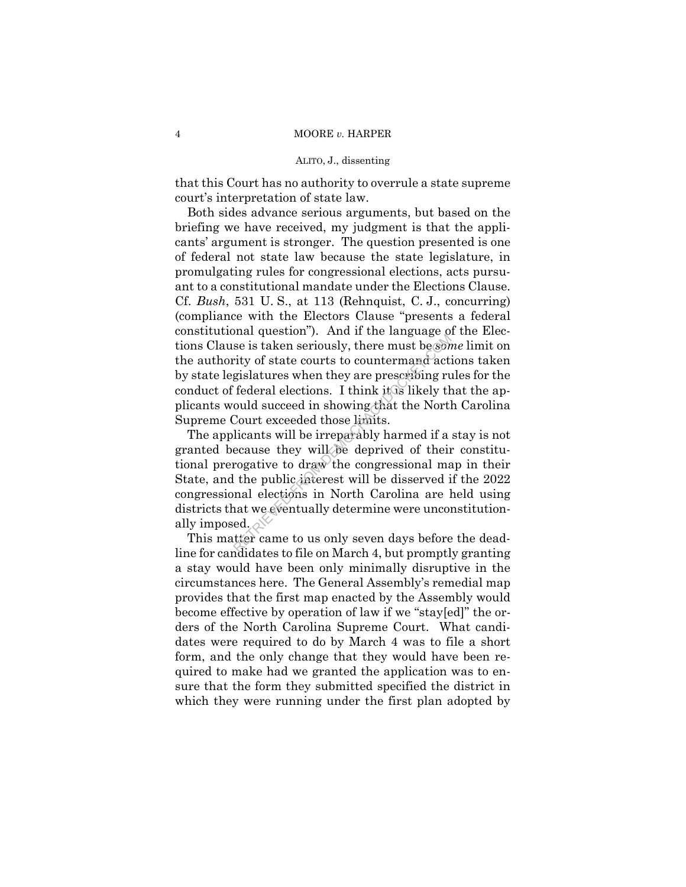that this Court has no authority to overrule a state supreme court's interpretation of state law.

Both sides advance serious arguments, but based on the briefing we have received, my judgment is that the applicants' argument is stronger. The question presented is one of federal not state law because the state legislature, in promulgating rules for congressional elections, acts pursuant to a constitutional mandate under the Elections Clause. Cf. *Bush*, 531 U. S., at 113 (Rehnquist, C. J., concurring) (compliance with the Electors Clause "presents a federal constitutional question"). And if the language of the Elections Clause is taken seriously, there must be *some* limit on the authority of state courts to countermand actions taken by state legislatures when they are prescribing rules for the conduct of federal elections. I think it is likely that the applicants would succeed in showing that the North Carolina Supreme Court exceeded those limits.

The applicants will be irreparably harmed if a stay is not granted because they will be deprived of their constitutional prerogative to draw the congressional map in their State, and the public interest will be disserved if the 2022 congressional elections in North Carolina are held using districts that we eventually determine were unconstitutionally imposed. From the magnitude of the must be someting that the set is taken seriously, there must be sometry of state courts to countermand act gislatures when they are prescribing rule of federal elections. I think it is likely the

This matter came to us only seven days before the deadline for candidates to file on March 4, but promptly granting a stay would have been only minimally disruptive in the circumstances here. The General Assembly's remedial map provides that the first map enacted by the Assembly would become effective by operation of law if we "stay[ed]" the orders of the North Carolina Supreme Court. What candidates were required to do by March 4 was to file a short form, and the only change that they would have been required to make had we granted the application was to ensure that the form they submitted specified the district in which they were running under the first plan adopted by